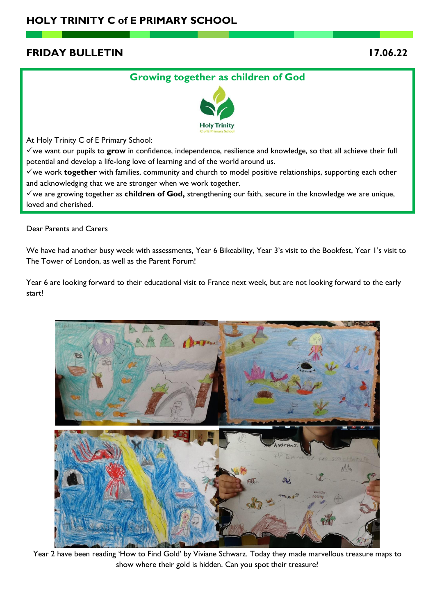# **FRIDAY BULLETIN 17.06.22**

# **Growing together as children of God**



At Holy Trinity C of E Primary School:

✓we want our pupils to **grow** in confidence, independence, resilience and knowledge, so that all achieve their full potential and develop a life-long love of learning and of the world around us.

✓we work **together** with families, community and church to model positive relationships, supporting each other and acknowledging that we are stronger when we work together.

✓we are growing together as **children of God,** strengthening our faith, secure in the knowledge we are unique, loved and cherished.

Dear Parents and Carers

We have had another busy week with assessments, Year 6 Bikeability, Year 3's visit to the Bookfest, Year 1's visit to The Tower of London, as well as the Parent Forum!

Year 6 are looking forward to their educational visit to France next week, but are not looking forward to the early start!



Year 2 have been reading 'How to Find Gold' by Viviane Schwarz. Today they made marvellous treasure maps to show where their gold is hidden. Can you spot their treasure?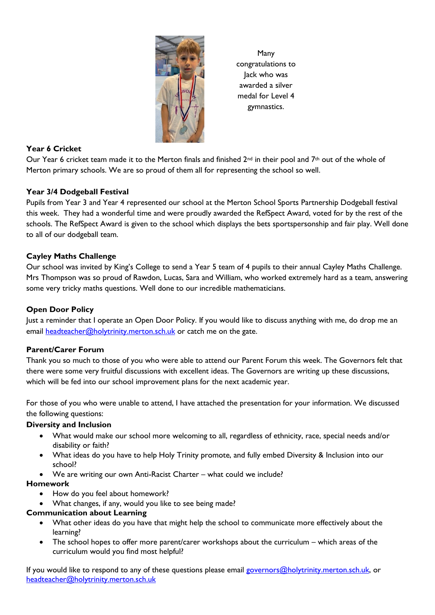

Many congratulations to Jack who was awarded a silver medal for Level 4 gymnastics.

# **Year 6 Cricket**

Our Year 6 cricket team made it to the Merton finals and finished  $2^{nd}$  in their pool and 7<sup>th</sup> out of the whole of Merton primary schools. We are so proud of them all for representing the school so well.

# **Year 3/4 Dodgeball Festival**

Pupils from Year 3 and Year 4 represented our school at the Merton School Sports Partnership Dodgeball festival this week. They had a wonderful time and were proudly awarded the RefSpect Award, voted for by the rest of the schools. The RefSpect Award is given to the school which displays the bets sportspersonship and fair play. Well done to all of our dodgeball team.

# **Cayley Maths Challenge**

Our school was invited by King's College to send a Year 5 team of 4 pupils to their annual Cayley Maths Challenge. Mrs Thompson was so proud of Rawdon, Lucas, Sara and William, who worked extremely hard as a team, answering some very tricky maths questions. Well done to our incredible mathematicians.

# **Open Door Policy**

Just a reminder that I operate an Open Door Policy. If you would like to discuss anything with me, do drop me an email [headteacher@holytrinity.merton.sch.uk](mailto:headteacher@holytrinity.merton.sch.uk) or catch me on the gate.

# **Parent/Carer Forum**

Thank you so much to those of you who were able to attend our Parent Forum this week. The Governors felt that there were some very fruitful discussions with excellent ideas. The Governors are writing up these discussions, which will be fed into our school improvement plans for the next academic year.

For those of you who were unable to attend, I have attached the presentation for your information. We discussed the following questions:

# **Diversity and Inclusion**

- What would make our school more welcoming to all, regardless of ethnicity, race, special needs and/or disability or faith?
- What ideas do you have to help Holy Trinity promote, and fully embed Diversity & Inclusion into our school?
- We are writing our own Anti-Racist Charter what could we include?

#### **Homework**

- How do you feel about homework?
- What changes, if any, would you like to see being made?

#### **Communication about Learning**

- What other ideas do you have that might help the school to communicate more effectively about the learning?
- The school hopes to offer more parent/carer workshops about the curriculum which areas of the curriculum would you find most helpful?

If you would like to respond to any of these questions please email [governors@holytrinity.merton.sch.uk,](mailto:governors@holytrinity.merton.sch.uk) or [headteacher@holytrinity.merton.sch.uk](mailto:headteacher@holytrinity.merton.sch.uk)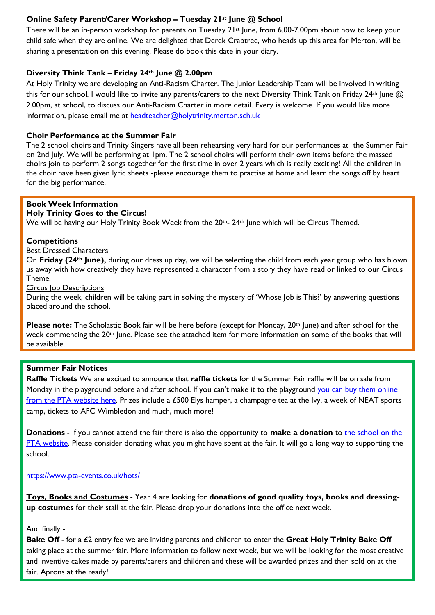# **Online Safety Parent/Carer Workshop – Tuesday 21st June @ School**

There will be an in-person workshop for parents on Tuesday 21st June, from 6.00-7.00pm about how to keep your child safe when they are online. We are delighted that Derek Crabtree, who heads up this area for Merton, will be sharing a presentation on this evening. Please do book this date in your diary.

### **Diversity Think Tank – Friday 24th June @ 2.00pm**

At Holy Trinity we are developing an Anti-Racism Charter. The Junior Leadership Team will be involved in writing this for our school. I would like to invite any parents/carers to the next Diversity Think Tank on Friday 24<sup>th</sup> June @ 2.00pm, at school, to discuss our Anti-Racism Charter in more detail. Every is welcome. If you would like more information, please email me at [headteacher@holytrinity.merton.sch.uk](mailto:headteacher@holytrinity.merton.sch.uk)

#### **Choir Performance at the Summer Fair**

The 2 school choirs and Trinity Singers have all been rehearsing very hard for our performances at the Summer Fair on 2nd July. We will be performing at 1pm. The 2 school choirs will perform their own items before the massed choirs join to perform 2 songs together for the first time in over 2 years which is really exciting! All the children in the choir have been given lyric sheets -please encourage them to practise at home and learn the songs off by heart for the big performance.

# **Book Week Information**

#### **Holy Trinity Goes to the Circus!**

We will be having our Holy Trinity Book Week from the 20<sup>th</sup>- 24<sup>th</sup> June which will be Circus Themed.

#### **Competitions**

#### Best Dressed Characters

On **Friday (24th June),** during our dress up day, we will be selecting the child from each year group who has blown us away with how creatively they have represented a character from a story they have read or linked to our Circus Theme.

#### **Circus Job Descriptions**

During the week, children will be taking part in solving the mystery of 'Whose Job is This?' by answering questions placed around the school.

**Please note:** The Scholastic Book fair will be here before (except for Monday, 20<sup>th</sup> June) and after school for the week commencing the 20<sup>th</sup> June. Please see the attached item for more information on some of the books that will be available.

#### **Summer Fair Notices**

**Raffle Tickets** We are excited to announce that **raffle tickets** for the Summer Fair raffle will be on sale from Monday in the playground before and after school. If you can't make it to the playground [you can buy them online](https://www.pta-events.co.uk/hots/)  [from the PTA website here.](https://www.pta-events.co.uk/hots/) Prizes include a £500 Elys hamper, a champagne tea at the Ivy, a week of NEAT sports camp, tickets to AFC Wimbledon and much, much more!

**Donations** - If you cannot attend the fair there is also the opportunity to **make a donation** to the school on the [PTA website.](https://www.pta-events.co.uk/hots/) Please consider donating what you might have spent at the fair. It will go a long way to supporting the school.

#### <https://www.pta-events.co.uk/hots/>

**Toys, Books and Costumes** - Year 4 are looking for **donations of good quality toys, books and dressingup costumes** for their stall at the fair. Please drop your donations into the office next week.

#### And finally -

**Bake Off** - for a £2 entry fee we are inviting parents and children to enter the **Great Holy Trinity Bake Off** taking place at the summer fair. More information to follow next week, but we will be looking for the most creative and inventive cakes made by parents/carers and children and these will be awarded prizes and then sold on at the fair. Aprons at the ready!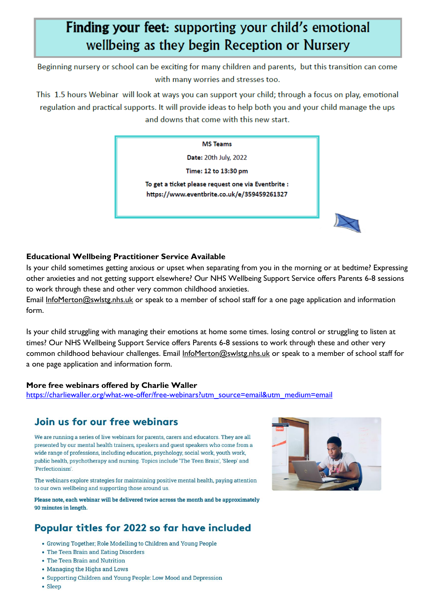# Finding your feet: supporting your child's emotional wellbeing as they begin Reception or Nursery

Beginning nursery or school can be exciting for many children and parents, but this transition can come with many worries and stresses too.

This 1.5 hours Webinar will look at ways you can support your child; through a focus on play, emotional regulation and practical supports. It will provide ideas to help both you and your child manage the ups and downs that come with this new start.

#### **MS Teams**

Date: 20th July, 2022

Time: 12 to 13:30 pm

To get a ticket please request one via Eventbrite : https://www.eventbrite.co.uk/e/359459261327

# **Educational Wellbeing Practitioner Service Available**

Is your child sometimes getting anxious or upset when separating from you in the morning or at bedtime? Expressing other anxieties and not getting support elsewhere? Our NHS Wellbeing Support Service offers Parents 6-8 sessions to work through these and other very common childhood anxieties.

Email [InfoMerton@swlstg.nhs.uk](mailto:InfoMerton@swlstg.nhs.uk) or speak to a member of school staff for a one page application and information form.

Is your child struggling with managing their emotions at home some times. losing control or struggling to listen at times? Our NHS Wellbeing Support Service offers Parents 6-8 sessions to work through these and other very common childhood behaviour challenges. Email [InfoMerton@swlstg.nhs.uk](mailto:InfoMerton@swlstg.nhs.uk) or speak to a member of school staff for a one page application and information form.

# **More free webinars offered by Charlie Waller**

[https://charliewaller.org/what-we-offer/free-webinars?utm\\_source=email&utm\\_medium=email](https://charliewaller.org/what-we-offer/free-webinars?utm_source=email&utm_medium=email)

# Join us for our free webingrs

We are running a series of live webinars for parents, carers and educators. They are all presented by our mental health trainers, speakers and quest speakers who come from a wide range of professions, including education, psychology, social work, youth work, public health, psychotherapy and nursing. Topics include 'The Teen Brain', 'Sleep' and 'Perfectionism'.

The webinars explore strategies for maintaining positive mental health, paying attention to our own wellbeing and supporting those around us.

Please note, each webinar will be delivered twice across the month and be approximately 90 minutes in length.

# Popular titles for 2022 so far have included

- Growing Together; Role Modelling to Children and Young People
- The Teen Brain and Eating Disorders
- The Teen Brain and Nutrition
- Managing the Highs and Lows
- Supporting Children and Young People: Low Mood and Depression
- Sleep

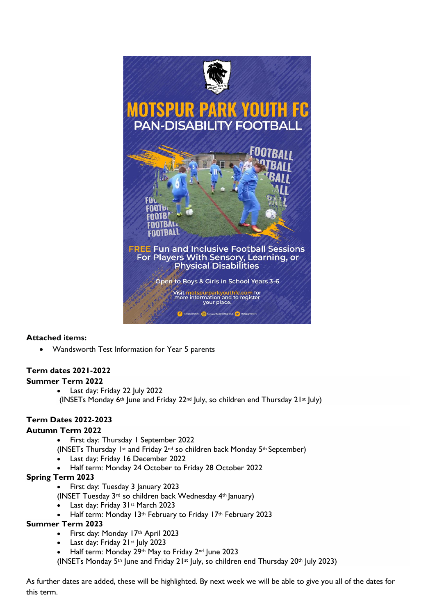

# **Attached items:**

• Wandsworth Test Information for Year 5 parents

# **Term dates 2021-2022**

# **Summer Term 2022**

• Last day: Friday 22 July 2022 (INSETs Monday  $6$ <sup>th</sup> June and Friday 22<sup>nd</sup> July, so children end Thursday 21<sup>st</sup> July)

# **Term Dates 2022-2023**

# **Autumn Term 2022**

- First day: Thursday 1 September 2022
- (INSETs Thursday 1st and Friday 2nd so children back Monday 5th September)
- Last day: Friday 16 December 2022
- Half term: Monday 24 October to Friday 28 October 2022

# **Spring Term 2023**

- First day: Tuesday 3 January 2023
- (INSET Tuesday 3rd so children back Wednesday 4th January)
	- Last day: Friday 31st March 2023
- Half term: Monday 13th February to Friday 17th February 2023

# **Summer Term 2023**

- First day: Monday 17th April 2023
- Last day: Friday 21st July 2023
- Half term: Monday 29th May to Friday 2nd June 2023
- (INSETs Monday 5<sup>th</sup> June and Friday 21<sup>st</sup> July, so children end Thursday 20<sup>th</sup> July 2023)

As further dates are added, these will be highlighted. By next week we will be able to give you all of the dates for this term.